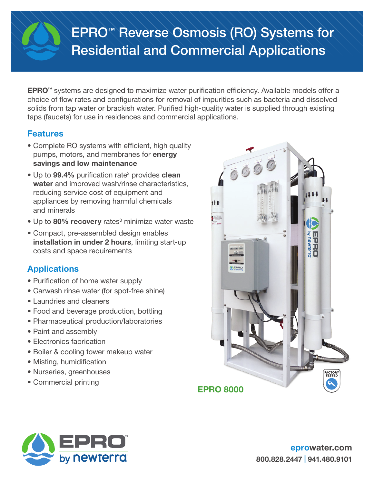# EPRO™ Reverse Osmosis (RO) Systems for Residential and Commercial Applications

EPRO™ systems are designed to maximize water purification efficiency. Available models offer a choice of flow rates and configurations for removal of impurities such as bacteria and dissolved solids from tap water or brackish water. Purified high-quality water is supplied through existing taps (faucets) for use in residences and commercial applications.

# Features

- Complete RO systems with efficient, high quality pumps, motors, and membranes for energy savings and low maintenance
- Up to 99.4% purification rate<sup>2</sup> provides clean water and improved wash/rinse characteristics, reducing service cost of equipment and appliances by removing harmful chemicals and minerals
- Up to 80% recovery rates<sup>3</sup> minimize water waste
- Compact, pre-assembled design enables installation in under 2 hours, limiting start-up costs and space requirements

# **Applications**

- Purification of home water supply
- Carwash rinse water (for spot-free shine)
- Laundries and cleaners
- Food and beverage production, bottling
- Pharmaceutical production/laboratories
- Paint and assembly
- Electronics fabrication
- Boiler & cooling tower makeup water
- Misting, humidification
- Nurseries, greenhouses
- Commercial printing